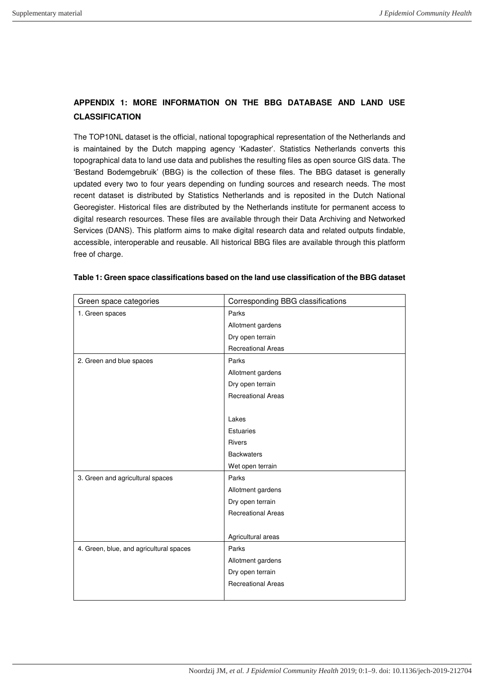## **APPENDIX 1: MORE INFORMATION ON THE BBG DATABASE AND LAND USE CLASSIFICATION**

The TOP10NL dataset is the official, national topographical representation of the Netherlands and is maintained by the Dutch mapping agency 'Kadaster'. Statistics Netherlands converts this topographical data to land use data and publishes the resulting files as open source GIS data. The 'Bestand Bodemgebruik' (BBG) is the collection of these files. The BBG dataset is generally updated every two to four years depending on funding sources and research needs. The most recent dataset is distributed by Statistics Netherlands and is reposited in the Dutch National Georegister. Historical files are distributed by the Netherlands institute for permanent access to digital research resources. These files are available through their Data Archiving and Networked Services (DANS). This platform aims to make digital research data and related outputs findable, accessible, interoperable and reusable. All historical BBG files are available through this platform free of charge.

| Green space categories                  | Corresponding BBG classifications |  |
|-----------------------------------------|-----------------------------------|--|
| 1. Green spaces                         | Parks                             |  |
|                                         | Allotment gardens                 |  |
|                                         | Dry open terrain                  |  |
|                                         | <b>Recreational Areas</b>         |  |
| 2. Green and blue spaces                | Parks                             |  |
|                                         | Allotment gardens                 |  |
|                                         | Dry open terrain                  |  |
|                                         | <b>Recreational Areas</b>         |  |
|                                         |                                   |  |
|                                         | Lakes                             |  |
|                                         | <b>Estuaries</b>                  |  |
|                                         | <b>Rivers</b>                     |  |
|                                         | <b>Backwaters</b>                 |  |
|                                         | Wet open terrain                  |  |
| 3. Green and agricultural spaces        | Parks                             |  |
|                                         | Allotment gardens                 |  |
|                                         | Dry open terrain                  |  |
|                                         | <b>Recreational Areas</b>         |  |
|                                         |                                   |  |
|                                         | Agricultural areas                |  |
| 4. Green, blue, and agricultural spaces | Parks                             |  |
|                                         | Allotment gardens                 |  |
|                                         | Dry open terrain                  |  |
|                                         | <b>Recreational Areas</b>         |  |
|                                         |                                   |  |

## **Table 1: Green space classifications based on the land use classification of the BBG dataset**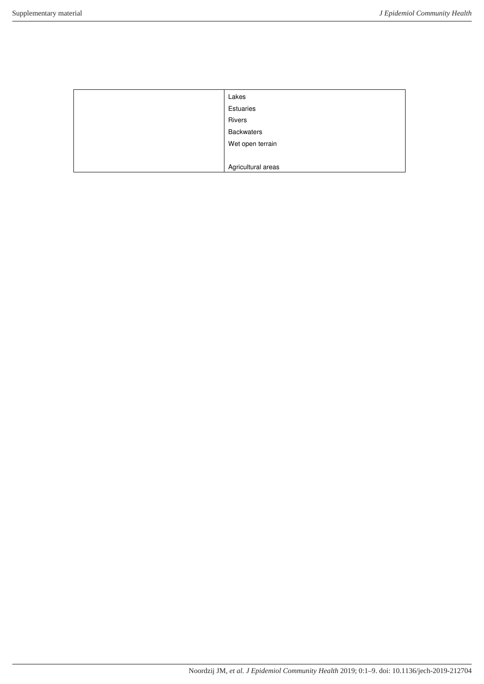| Lakes              |
|--------------------|
| Estuaries          |
| Rivers             |
| <b>Backwaters</b>  |
| Wet open terrain   |
|                    |
| Agricultural areas |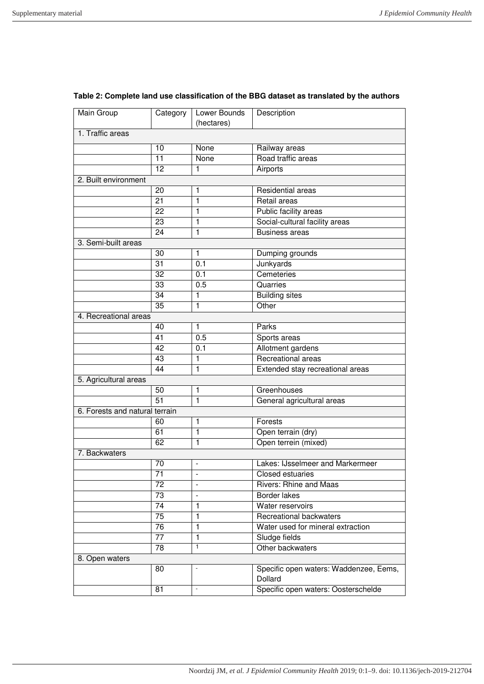| Main Group                     | Category        | Lower Bounds<br>(hectares) | Description                                       |  |  |
|--------------------------------|-----------------|----------------------------|---------------------------------------------------|--|--|
| 1. Traffic areas               |                 |                            |                                                   |  |  |
|                                | 10              | None                       | Railway areas                                     |  |  |
|                                | $\overline{11}$ | None                       | Road traffic areas                                |  |  |
|                                | 12              | 1                          | Airports                                          |  |  |
| 2. Built environment           |                 |                            |                                                   |  |  |
|                                | 20              | 1                          | Residential areas                                 |  |  |
|                                | 21              | $\mathbf{1}$               | Retail areas                                      |  |  |
|                                | $\overline{22}$ | 1                          | Public facility areas                             |  |  |
|                                | 23              | 1                          | Social-cultural facility areas                    |  |  |
|                                | 24              | $\mathbf{1}$               | <b>Business areas</b>                             |  |  |
| 3. Semi-built areas            |                 |                            |                                                   |  |  |
|                                | 30              | 1                          | Dumping grounds                                   |  |  |
|                                | $\overline{31}$ | 0.1                        | Junkyards                                         |  |  |
|                                | $\overline{32}$ | 0.1                        | Cemeteries                                        |  |  |
|                                | 33              | 0.5                        | Quarries                                          |  |  |
|                                | 34              | 1                          | <b>Building sites</b>                             |  |  |
|                                | $\overline{35}$ | 1                          | Other                                             |  |  |
| 4. Recreational areas          |                 |                            |                                                   |  |  |
|                                | 40              | 1                          | Parks                                             |  |  |
|                                | $\overline{41}$ | 0.5                        | Sports areas                                      |  |  |
|                                | 42              | 0.1                        | Allotment gardens                                 |  |  |
|                                | 43              | 1                          | Recreational areas                                |  |  |
|                                | 44              | 1                          | Extended stay recreational areas                  |  |  |
| 5. Agricultural areas          |                 |                            |                                                   |  |  |
|                                | 50              | 1                          | Greenhouses                                       |  |  |
|                                | $\overline{51}$ | $\overline{1}$             | General agricultural areas                        |  |  |
| 6. Forests and natural terrain |                 |                            |                                                   |  |  |
|                                | 60              | 1                          | Forests                                           |  |  |
|                                | 61              | $\mathbf{1}$               | Open terrain (dry)                                |  |  |
|                                | 62              | $\overline{1}$             | Open terrein (mixed)                              |  |  |
| 7. Backwaters                  |                 |                            |                                                   |  |  |
|                                | 70              | $\blacksquare$             | Lakes: IJsselmeer and Markermeer                  |  |  |
|                                | 71              |                            | Closed estuaries                                  |  |  |
|                                | 72              |                            | Rivers: Rhine and Maas                            |  |  |
|                                | 73              |                            | Border lakes                                      |  |  |
|                                | 74              | 1                          | Water reservoirs                                  |  |  |
|                                | $\overline{75}$ | 1                          | Recreational backwaters                           |  |  |
|                                | 76              | $\mathbf{1}$               | Water used for mineral extraction                 |  |  |
|                                | $\overline{77}$ | $\mathbf{1}$               | Sludge fields                                     |  |  |
|                                | 78              | $\mathbf{1}$               | Other backwaters                                  |  |  |
| 8. Open waters                 |                 |                            |                                                   |  |  |
|                                | 80              |                            | Specific open waters: Waddenzee, Eems,<br>Dollard |  |  |
|                                | 81              | $\blacksquare$             | Specific open waters: Oosterschelde               |  |  |
|                                |                 |                            |                                                   |  |  |

## **Table 2: Complete land use classification of the BBG dataset as translated by the authors**